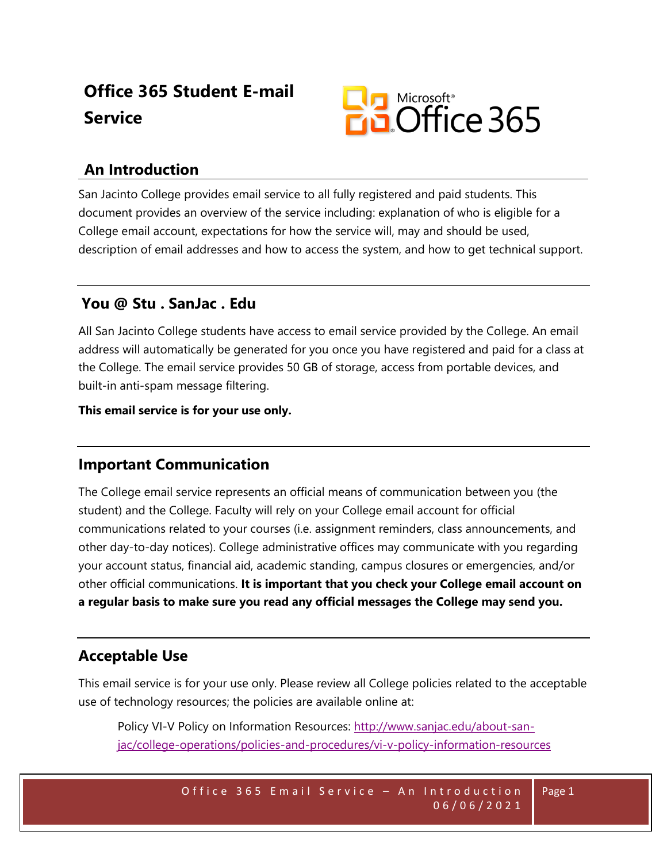# **Office 365 Student E-mail Service**



# **An Introduction**

San Jacinto College provides email service to all fully registered and paid students. This document provides an overview of the service including: explanation of who is eligible for a College email account, expectations for how the service will, may and should be used, description of email addresses and how to access the system, and how to get technical support.

### **You @ Stu . SanJac . Edu**

All San Jacinto College students have access to email service provided by the College. An email address will automatically be generated for you once you have registered and paid for a class at the College. The email service provides 50 GB of storage, access from portable devices, and built-in anti-spam message filtering.

**This email service is for your use only.**

### **Important Communication**

The College email service represents an official means of communication between you (the student) and the College. Faculty will rely on your College email account for official communications related to your courses (i.e. assignment reminders, class announcements, and other day-to-day notices). College administrative offices may communicate with you regarding your account status, financial aid, academic standing, campus closures or emergencies, and/or other official communications. **It is important that you check your College email account on a regular basis to make sure you read any official messages the College may send you.**

# **Acceptable Use**

This email service is for your use only. Please review all College policies related to the acceptable use of technology resources; the policies are available online at:

Policy VI-V Policy on Information Resources: [http://www.sanjac.edu/about-san](http://www.sanjac.edu/about-san-jac/college-operations/policies-and-procedures/vi-v-policy-information-resources)[jac/college-operations/policies-and-procedures/vi-v-policy-information-resources](http://www.sanjac.edu/about-san-jac/college-operations/policies-and-procedures/vi-v-policy-information-resources)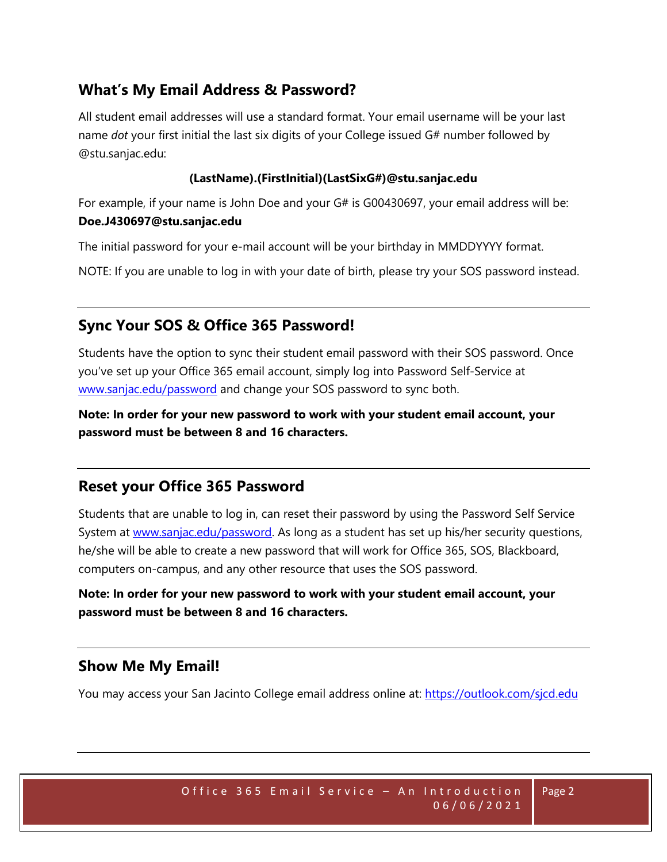# **What's My Email Address & Password?**

All student email addresses will use a standard format. Your email username will be your last name *dot* your first initial the last six digits of your College issued G# number followed by @stu.sanjac.edu:

#### **(LastName).(FirstInitial)(LastSixG#)@stu.sanjac.edu**

For example, if your name is John Doe and your G# is G00430697, your email address will be: **Doe.J430697@stu.sanjac.edu**

The initial password for your e-mail account will be your birthday in MMDDYYYY format.

NOTE: If you are unable to log in with your date of birth, please try your SOS password instead.

### **Sync Your SOS & Office 365 Password!**

Students have the option to sync their student email password with their SOS password. Once you've set up your Office 365 email account, simply log into Password Self-Service at [www.sanjac.edu/password](http://www.sanjac.edu/password) and change your SOS password to sync both.

**Note: In order for your new password to work with your student email account, your password must be between 8 and 16 characters.**

#### **Reset your Office 365 Password**

Students that are unable to log in, can reset their password by using the Password Self Service System at [www.sanjac.edu/password.](http://www.sanjac.edu/password) As long as a student has set up his/her security questions, he/she will be able to create a new password that will work for Office 365, SOS, Blackboard, computers on-campus, and any other resource that uses the SOS password.

**Note: In order for your new password to work with your student email account, your password must be between 8 and 16 characters.**

### **Show Me My Email!**

You may access your San Jacinto College email address online at:<https://outlook.com/sjcd.edu>